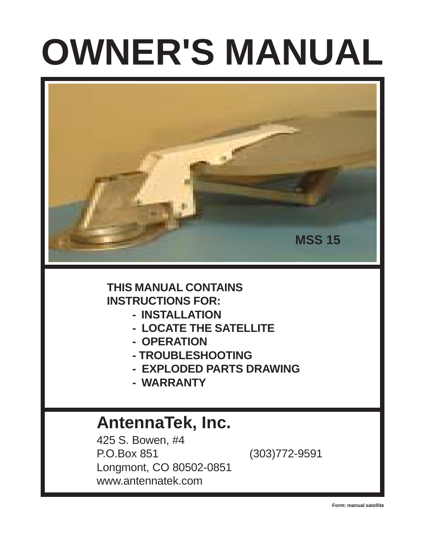# **OWNER'S MANUAL**



# **THIS MANUAL CONTAINS INSTRUCTIONS FOR:**

- **INSTALLATION**
- **LOCATE THE SATELLITE**
- **OPERATION**
- **TROUBLESHOOTING**
- **EXPLODED PARTS DRAWING**
- **WARRANTY**

# **AntennaTek, Inc.**

425 S. Bowen, #4 P.O.Box 851 (303)772-9591 Longmont, CO 80502-0851 www.antennatek.com

**Form: manual satellite**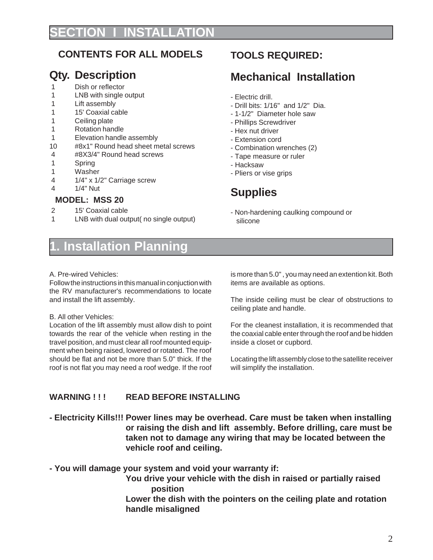# **SECTION I INSTALLATION**

## **CONTENTS FOR ALL MODELS**

# **Qty. Description**

- 1 Dish or reflector
- 1 LNB with single output
- 1 Lift assembly
- 1 15' Coaxial cable
- 1 Ceiling plate
- 1 Rotation handle
- 1 Elevation handle assembly
- 10 #8x1" Round head sheet metal screws
- 4 #8X3/4" Round head screws
- 1 Spring
- 1 Washer
- 4 1/4" x 1/2" Carriage screw
- 4 1/4" Nut

#### **MODEL: MSS 20**

- 2 15' Coaxial cable
- 1 LNB with dual output( no single output)

# **Installation Planning**

#### A. Pre-wired Vehicles:

Follow the instructions in this manual in conjuction with the RV manufacturer's recommendations to locate and install the lift assembly.

#### B. All other Vehicles:

Location of the lift assembly must allow dish to point towards the rear of the vehicle when resting in the travel position, and must clear all roof mounted equipment when being raised, lowered or rotated. The roof should be flat and not be more than 5.0" thick. If the roof is not flat you may need a roof wedge. If the roof is more than 5.0" , you may need an extention kit. Both items are available as options.

The inside ceiling must be clear of obstructions to ceiling plate and handle.

For the cleanest installation, it is recommended that the coaxial cable enter through the roof and be hidden inside a closet or cupbord.

Locating the lift assembly close to the satellite receiver will simplify the installation.

## **WARNING ! ! ! READ BEFORE INSTALLING**

**- Electricity Kills!!! Power lines may be overhead. Care must be taken when installing or raising the dish and lift assembly. Before drilling, care must be taken not to damage any wiring that may be located between the vehicle roof and ceiling.**

**- You will damage your system and void your warranty if:**

**You drive your vehicle with the dish in raised or partially raised position**

**Lower the dish with the pointers on the ceiling plate and rotation handle misaligned**

# **TOOLS REQUIRED:**

# **Mechanical Installation**

- Electric drill.
- Drill bits: 1/16" and 1/2" Dia.
- 1-1/2" Diameter hole saw
- Phillips Screwdriver
- Hex nut driver
- Extension cord
- Combination wrenches (2)
- Tape measure or ruler
- Hacksaw
- Pliers or vise grips

# **Supplies**

- Non-hardening caulking compound or silicone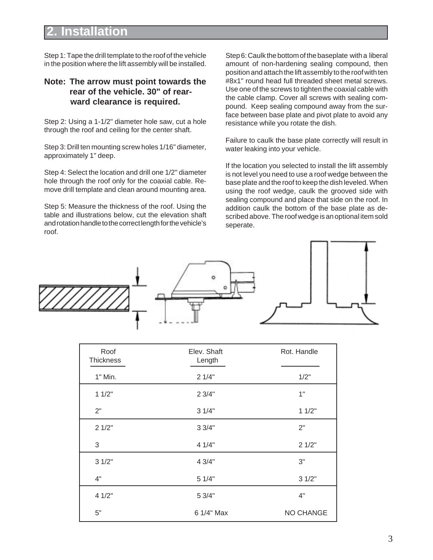# **2. Installation**

Step 1: Tape the drill template to the roof of the vehicle in the position where the lift assembly will be installed.

#### **Note: The arrow must point towards the rear of the vehicle. 30" of rearward clearance is required.**

Step 2: Using a 1-1/2" diameter hole saw, cut a hole through the roof and ceiling for the center shaft.

Step 3: Drill ten mounting screw holes 1/16" diameter, approximately 1" deep.

Step 4: Select the location and drill one 1/2" diameter hole through the roof only for the coaxial cable. Remove drill template and clean around mounting area.

Step 5: Measure the thickness of the roof. Using the table and illustrations below, cut the elevation shaft and rotation handle to the correct length for the vehicle's roof.

Step 6: Caulk the bottom of the baseplate with a liberal amount of non-hardening sealing compound, then position and attach the lift assembly to the roof with ten #8x1" round head full threaded sheet metal screws. Use one of the screws to tighten the coaxial cable with the cable clamp. Cover all screws with sealing compound. Keep sealing compound away from the surface between base plate and pivot plate to avoid any resistance while you rotate the dish.

Failure to caulk the base plate correctly will result in water leaking into your vehicle.

If the location you selected to install the lift assembly is not level you need to use a roof wedge between the base plate and the roof to keep the dish leveled. When using the roof wedge, caulk the grooved side with sealing compound and place that side on the roof. In addition caulk the bottom of the base plate as described above. The roof wedge is an optional item sold seperate.



| Roof<br>Thickness | Elev. Shaft<br>Length | Rot. Handle |
|-------------------|-----------------------|-------------|
| 1" Min.           | 21/4"                 | 1/2"        |
| 11/2"             | 23/4"                 | 1"          |
| 2"                | 31/4"                 | 11/2"       |
| 21/2"             | 33/4"                 | 2"          |
| 3                 | 41/4"                 | 21/2"       |
| 31/2"             | 4 3/4"                | 3"          |
| 4"                | 51/4"                 | 31/2"       |
| 4 1/2"            | 5 3/4"                | 4"          |
| 5"                | 6 1/4" Max            | NO CHANGE   |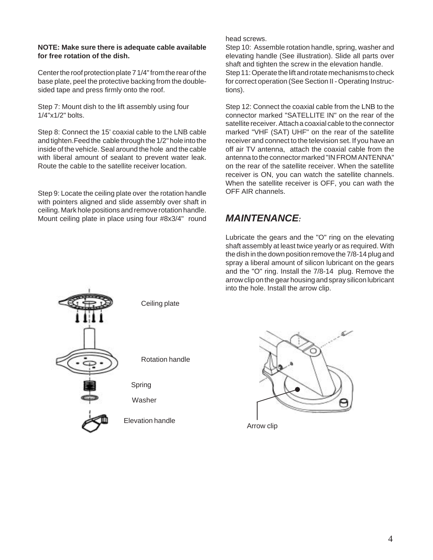#### **NOTE: Make sure there is adequate cable available for free rotation of the dish.**

Center the roof protection plate 7 1/4" from the rear of the base plate, peel the protective backing from the doublesided tape and press firmly onto the roof.

Step 7: Mount dish to the lift assembly using four 1/4"x1/2" bolts.

Step 8: Connect the 15' coaxial cable to the LNB cable and tighten.Feed the cable through the 1/2" hole into the inside of the vehicle. Seal around the hole and the cable with liberal amount of sealant to prevent water leak. Route the cable to the satellite receiver location.

Step 9: Locate the ceiling plate over the rotation handle with pointers aligned and slide assembly over shaft in ceiling. Mark hole positions and remove rotation handle. Mount ceiling plate in place using four #8x3/4" round head screws.

Step 10: Assemble rotation handle, spring, washer and elevating handle (See illustration). Slide all parts over shaft and tighten the screw in the elevation handle. Step 11: Operate the lift and rotate mechanisms to check for correct operation (See Section II - Operating Instructions).

Step 12: Connect the coaxial cable from the LNB to the connector marked "SATELLITE IN" on the rear of the satellite receiver. Attach a coaxial cable to the connector marked "VHF (SAT) UHF" on the rear of the satellite receiver and connect to the television set. If you have an off air TV antenna, attach the coaxial cable from the antenna to the connector marked "IN FROM ANTENNA" on the rear of the satellite receiver. When the satellite receiver is ON, you can watch the satellite channels. When the satellite receiver is OFF, you can wath the OFF AIR channels.

## *MAINTENANCE:*

Lubricate the gears and the "O" ring on the elevating shaft assembly at least twice yearly or as required. With the dish in the down position remove the 7/8-14 plug and spray a liberal amount of silicon lubricant on the gears and the "O" ring. Install the 7/8-14 plug. Remove the arrow clip on the gear housing and spray silicon lubricant into the hole. Install the arrow clip.



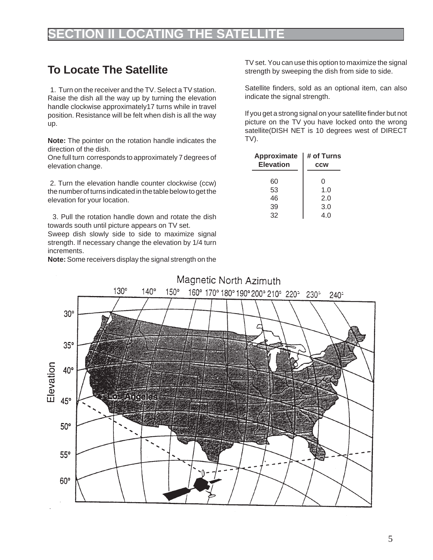# **SECTION II LOCATING THE SATELLITE**

## **To Locate The Satellite**

 1. Turn on the receiver and the TV. Select a TV station. Raise the dish all the way up by turning the elevation handle clockwise approximately17 turns while in travel position. Resistance will be felt when dish is all the way up.

**Note:** The pointer on the rotation handle indicates the direction of the dish.

One full turn corresponds to approximately 7 degrees of elevation change.

 2. Turn the elevation handle counter clockwise (ccw) the number of turns indicated in the table below to get the elevation for your location.

 3. Pull the rotation handle down and rotate the dish towards south until picture appears on TV set.

Sweep dish slowly side to side to maximize signal strength. If necessary change the elevation by 1/4 turn increments.

**Note:** Some receivers display the signal strength on the

TV set. You can use this option to maximize the signal strength by sweeping the dish from side to side.

Satellite finders, sold as an optional item, can also indicate the signal strength.

If you get a strong signal on your satellite finder but not picture on the TV you have locked onto the wrong satellite(DISH NET is 10 degrees west of DIRECT TV).

| Approximate<br><b>Elevation</b> | # of Turns<br><b>CCW</b> |
|---------------------------------|--------------------------|
| 60                              | O                        |
| 53                              | 1.0                      |
| 46                              | 2.0                      |
| 39                              | 3.0                      |
| 32                              | 4 በ                      |

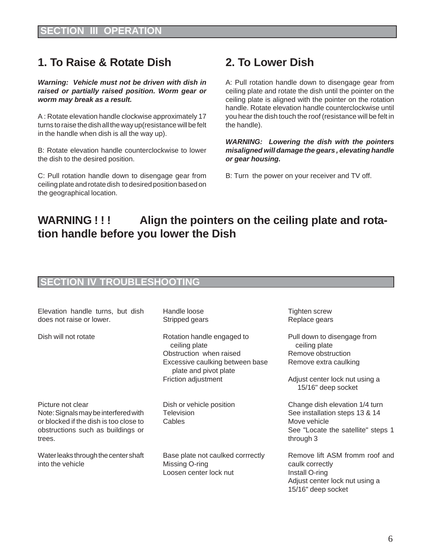# **1. To Raise & Rotate Dish**

*Warning: Vehicle must not be driven with dish in raised or partially raised position. Worm gear or worm may break as a result.*

A : Rotate elevation handle clockwise approximately 17 turns to raise the dish all the way up(resistance will be felt in the handle when dish is all the way up).

B: Rotate elevation handle counterclockwise to lower the dish to the desired position.

C: Pull rotation handle down to disengage gear from ceiling plate and rotate dish to desired position based on the geographical location.

# **2. To Lower Dish**

A: Pull rotation handle down to disengage gear from ceiling plate and rotate the dish until the pointer on the ceiling plate is aligned with the pointer on the rotation handle. Rotate elevation handle counterclockwise until you hear the dish touch the roof (resistance will be felt in the handle).

*WARNING: Lowering the dish with the pointers misaligned will damage the gears , elevating handle or gear housing.*

B: Turn the power on your receiver and TV off.

# **WARNING ! ! ! Align the pointers on the ceiling plate and rotation handle before you lower the Dish**

## **SECTION IV TROUBLESHOOTING**

| Elevation handle turns, but dish<br>does not raise or lower.                                                                                       | Handle loose<br>Stripped gears                                                                                                     | Tighten screw<br>Replace gears                                                                                                      |
|----------------------------------------------------------------------------------------------------------------------------------------------------|------------------------------------------------------------------------------------------------------------------------------------|-------------------------------------------------------------------------------------------------------------------------------------|
| Dish will not rotate                                                                                                                               | Rotation handle engaged to<br>ceiling plate<br>Obstruction when raised<br>Excessive caulking between base<br>plate and pivot plate | Pull down to disengage from<br>ceiling plate<br>Remove obstruction<br>Remove extra caulking                                         |
|                                                                                                                                                    | Friction adjustment                                                                                                                | Adjust center lock nut using a<br>15/16" deep socket                                                                                |
| Picture not clear<br>Note: Signals may be interfered with<br>or blocked if the dish is too close to<br>obstructions such as buildings or<br>trees. | Dish or vehicle position<br>Television<br>Cables                                                                                   | Change dish elevation 1/4 turn<br>See installation steps 13 & 14<br>Move vehicle<br>See "Locate the satellite" steps 1<br>through 3 |
| Water leaks through the center shaft<br>into the vehicle                                                                                           | Base plate not caulked corrrectly<br>Missing O-ring<br>Loosen center lock nut                                                      | Remove lift ASM fromm roof and<br>caulk correctly<br>Install O-ring<br>Adjust center lock nut using a<br>15/16" deep socket         |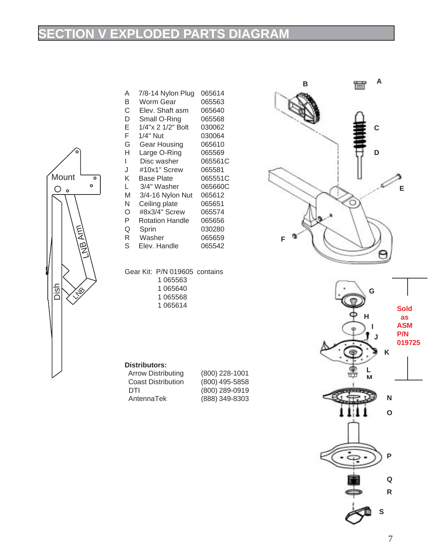# **SECTION V EXPLODED PARTS DIAGRAM**



| A  | 7/8-14 Nylon Plug      | 065614  |
|----|------------------------|---------|
| В  | Worm Gear              | 065563  |
| С  | Elev. Shaft asm        | 065640  |
| D  | Small O-Ring           | 065568  |
| E  | 1/4"x 2 1/2" Bolt      | 030062  |
| F  | 1/4" Nut               | 030064  |
| G  | Gear Housing           | 065610  |
| н  | Large O-Ring           | 065569  |
| ı  | Disc washer            | 065561C |
| J. | #10x1" Screw           | 065581  |
| ĸ  | Base Plate             | 065551C |
| L  | 3/4" Washer            | 065660C |
| M  | 3/4-16 Nylon Nut       | 065612  |
| N  | Ceiling plate          | 065651  |
| Ω  | #8x3/4" Screw          | 065574  |
| P  | <b>Rotation Handle</b> | 065656  |
| Q  | Sprin                  | 030280  |
| R  | Washer                 | 065659  |
| S  | Elev. Handle           | 065542  |
|    |                        |         |

Gear Kit: P/N 019605 contains 1 065563 1 065640 1 065568 1 065614

**Distributors:**

| <b>Arrow Distributing</b> | (800) 228-1001 |
|---------------------------|----------------|
| <b>Coast Distribution</b> | (800) 495-5858 |
| DTI                       | (800) 289-0919 |
| AntennaTek                | (888) 349-8303 |

| 800) 228-1001 |
|---------------|
| 800) 495-5858 |
| 800) 289-0919 |
| 888) 349-8303 |